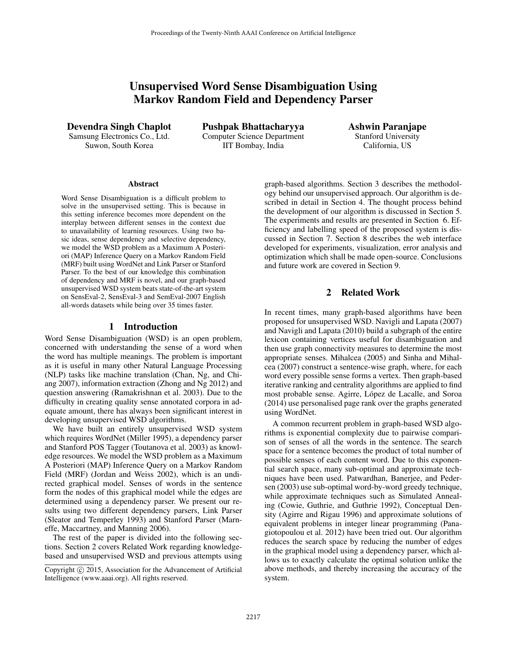# Unsupervised Word Sense Disambiguation Using Markov Random Field and Dependency Parser

Devendra Singh Chaplot Samsung Electronics Co., Ltd. Suwon, South Korea

Pushpak Bhattacharyya Computer Science Department IIT Bombay, India

Ashwin Paranjape Stanford University California, US

#### Abstract

Word Sense Disambiguation is a difficult problem to solve in the unsupervised setting. This is because in this setting inference becomes more dependent on the interplay between different senses in the context due to unavailability of learning resources. Using two basic ideas, sense dependency and selective dependency, we model the WSD problem as a Maximum A Posteriori (MAP) Inference Query on a Markov Random Field (MRF) built using WordNet and Link Parser or Stanford Parser. To the best of our knowledge this combination of dependency and MRF is novel, and our graph-based unsupervised WSD system beats state-of-the-art system on SensEval-2, SensEval-3 and SemEval-2007 English all-words datasets while being over 35 times faster.

#### 1 Introduction

Word Sense Disambiguation (WSD) is an open problem, concerned with understanding the sense of a word when the word has multiple meanings. The problem is important as it is useful in many other Natural Language Processing (NLP) tasks like machine translation (Chan, Ng, and Chiang 2007), information extraction (Zhong and Ng 2012) and question answering (Ramakrishnan et al. 2003). Due to the difficulty in creating quality sense annotated corpora in adequate amount, there has always been significant interest in developing unsupervised WSD algorithms.

We have built an entirely unsupervised WSD system which requires WordNet (Miller 1995), a dependency parser and Stanford POS Tagger (Toutanova et al. 2003) as knowledge resources. We model the WSD problem as a Maximum A Posteriori (MAP) Inference Query on a Markov Random Field (MRF) (Jordan and Weiss 2002), which is an undirected graphical model. Senses of words in the sentence form the nodes of this graphical model while the edges are determined using a dependency parser. We present our results using two different dependency parsers, Link Parser (Sleator and Temperley 1993) and Stanford Parser (Marneffe, Maccartney, and Manning 2006).

The rest of the paper is divided into the following sections. Section 2 covers Related Work regarding knowledgebased and unsupervised WSD and previous attempts using

graph-based algorithms. Section 3 describes the methodology behind our unsupervised approach. Our algorithm is described in detail in Section 4. The thought process behind the development of our algorithm is discussed in Section 5. The experiments and results are presented in Section 6. Efficiency and labelling speed of the proposed system is discussed in Section 7. Section 8 describes the web interface developed for experiments, visualization, error analysis and optimization which shall be made open-source. Conclusions and future work are covered in Section 9.

## 2 Related Work

In recent times, many graph-based algorithms have been proposed for unsupervised WSD. Navigli and Lapata (2007) and Navigli and Lapata (2010) build a subgraph of the entire lexicon containing vertices useful for disambiguation and then use graph connectivity measures to determine the most appropriate senses. Mihalcea (2005) and Sinha and Mihalcea (2007) construct a sentence-wise graph, where, for each word every possible sense forms a vertex. Then graph-based iterative ranking and centrality algorithms are applied to find most probable sense. Agirre, López de Lacalle, and Soroa (2014) use personalised page rank over the graphs generated using WordNet.

A common recurrent problem in graph-based WSD algorithms is exponential complexity due to pairwise comparison of senses of all the words in the sentence. The search space for a sentence becomes the product of total number of possible senses of each content word. Due to this exponential search space, many sub-optimal and approximate techniques have been used. Patwardhan, Banerjee, and Pedersen (2003) use sub-optimal word-by-word greedy technique, while approximate techniques such as Simulated Annealing (Cowie, Guthrie, and Guthrie 1992), Conceptual Density (Agirre and Rigau 1996) and approximate solutions of equivalent problems in integer linear programming (Panagiotopoulou et al. 2012) have been tried out. Our algorithm reduces the search space by reducing the number of edges in the graphical model using a dependency parser, which allows us to exactly calculate the optimal solution unlike the above methods, and thereby increasing the accuracy of the system.

Copyright (c) 2015, Association for the Advancement of Artificial Intelligence (www.aaai.org). All rights reserved.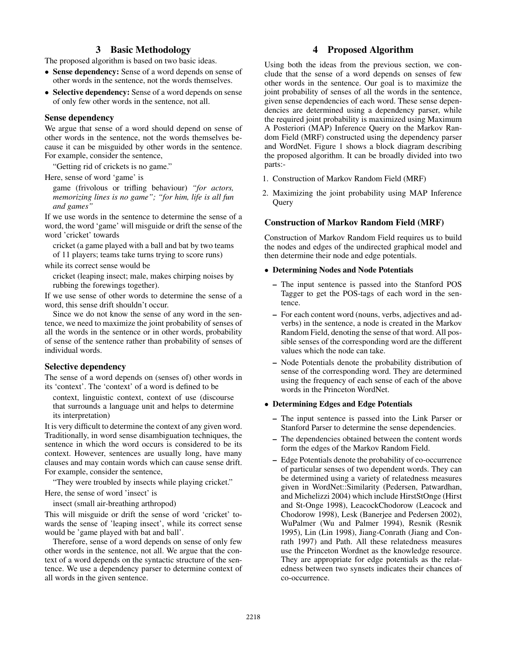# 3 Basic Methodology

The proposed algorithm is based on two basic ideas.

- Sense dependency: Sense of a word depends on sense of other words in the sentence, not the words themselves.
- Selective dependency: Sense of a word depends on sense of only few other words in the sentence, not all.

#### Sense dependency

We argue that sense of a word should depend on sense of other words in the sentence, not the words themselves because it can be misguided by other words in the sentence. For example, consider the sentence,

"Getting rid of crickets is no game."

Here, sense of word 'game' is

game (frivolous or trifling behaviour) *"for actors, memorizing lines is no game"; "for him, life is all fun and games"*

If we use words in the sentence to determine the sense of a word, the word 'game' will misguide or drift the sense of the word 'cricket' towards

cricket (a game played with a ball and bat by two teams of 11 players; teams take turns trying to score runs)

while its correct sense would be

cricket (leaping insect; male, makes chirping noises by rubbing the forewings together).

If we use sense of other words to determine the sense of a word, this sense drift shouldn't occur.

Since we do not know the sense of any word in the sentence, we need to maximize the joint probability of senses of all the words in the sentence or in other words, probability of sense of the sentence rather than probability of senses of individual words.

### Selective dependency

The sense of a word depends on (senses of) other words in its 'context'. The 'context' of a word is defined to be

context, linguistic context, context of use (discourse that surrounds a language unit and helps to determine its interpretation)

It is very difficult to determine the context of any given word. Traditionally, in word sense disambiguation techniques, the sentence in which the word occurs is considered to be its context. However, sentences are usually long, have many clauses and may contain words which can cause sense drift. For example, consider the sentence,

"They were troubled by insects while playing cricket." Here, the sense of word 'insect' is

insect (small air-breathing arthropod)

This will misguide or drift the sense of word 'cricket' towards the sense of 'leaping insect', while its correct sense would be 'game played with bat and ball'.

Therefore, sense of a word depends on sense of only few other words in the sentence, not all. We argue that the context of a word depends on the syntactic structure of the sentence. We use a dependency parser to determine context of all words in the given sentence.

# 4 Proposed Algorithm

Using both the ideas from the previous section, we conclude that the sense of a word depends on senses of few other words in the sentence. Our goal is to maximize the joint probability of senses of all the words in the sentence, given sense dependencies of each word. These sense dependencies are determined using a dependency parser, while the required joint probability is maximized using Maximum A Posteriori (MAP) Inference Query on the Markov Random Field (MRF) constructed using the dependency parser and WordNet. Figure 1 shows a block diagram describing the proposed algorithm. It can be broadly divided into two parts:-

- 1. Construction of Markov Random Field (MRF)
- 2. Maximizing the joint probability using MAP Inference Query

## Construction of Markov Random Field (MRF)

Construction of Markov Random Field requires us to build the nodes and edges of the undirected graphical model and then determine their node and edge potentials.

#### • Determining Nodes and Node Potentials

- The input sentence is passed into the Stanford POS Tagger to get the POS-tags of each word in the sentence.
- For each content word (nouns, verbs, adjectives and adverbs) in the sentence, a node is created in the Markov Random Field, denoting the sense of that word. All possible senses of the corresponding word are the different values which the node can take.
- Node Potentials denote the probability distribution of sense of the corresponding word. They are determined using the frequency of each sense of each of the above words in the Princeton WordNet.

### • Determining Edges and Edge Potentials

- The input sentence is passed into the Link Parser or Stanford Parser to determine the sense dependencies.
- The dependencies obtained between the content words form the edges of the Markov Random Field.
- Edge Potentials denote the probability of co-occurrence of particular senses of two dependent words. They can be determined using a variety of relatedness measures given in WordNet::Similarity (Pedersen, Patwardhan, and Michelizzi 2004) which include HirstStOnge (Hirst and St-Onge 1998), LeacockChodorow (Leacock and Chodorow 1998), Lesk (Banerjee and Pedersen 2002), WuPalmer (Wu and Palmer 1994), Resnik (Resnik 1995), Lin (Lin 1998), Jiang-Conrath (Jiang and Conrath 1997) and Path. All these relatedness measures use the Princeton Wordnet as the knowledge resource. They are appropriate for edge potentials as the relatedness between two synsets indicates their chances of co-occurrence.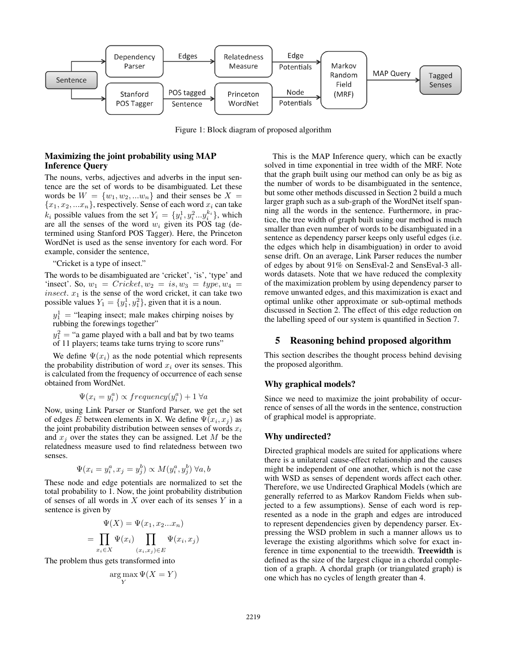

Figure 1: Block diagram of proposed algorithm

## Maximizing the joint probability using MAP Inference Query

The nouns, verbs, adjectives and adverbs in the input sentence are the set of words to be disambiguated. Let these words be  $W = \{w_1, w_2, ... w_n\}$  and their senses be  $X =$  ${x_1, x_2, ... x_n}$ , respectively. Sense of each word  $x_i$  can take  $k_i$  possible values from the set  $Y_i = \{y_i^1, y_i^2 \dots y_i^{k_i}\},\$  which are all the senses of the word  $w_i$  given its POS tag (determined using Stanford POS Tagger). Here, the Princeton WordNet is used as the sense inventory for each word. For example, consider the sentence,

"Cricket is a type of insect."

The words to be disambiguated are 'cricket', 'is', 'type' and 'insect'. So,  $w_1 =$  Cricket,  $w_2 =$  is,  $w_3 =$  type,  $w_4 =$ insect.  $x_1$  is the sense of the word cricket, it can take two possible values  $Y_1 = \{y_1^1, y_1^2\}$ , given that it is a noun.

 $y_1^1$  = "leaping insect; male makes chirping noises by rubbing the forewings together"

 $y_1^2$  = "a game played with a ball and bat by two teams of 11 players; teams take turns trying to score runs"

We define  $\Psi(x_i)$  as the node potential which represents the probability distribution of word  $x_i$  over its senses. This is calculated from the frequency of occurrence of each sense obtained from WordNet.

$$
\Psi(x_i = y_i^a) \propto frequency(y_i^a) + 1 \,\forall a
$$

Now, using Link Parser or Stanford Parser, we get the set of edges E between elements in X. We define  $\Psi(x_i, x_j)$  as the joint probability distribution between senses of words  $x_i$ and  $x_i$  over the states they can be assigned. Let M be the relatedness measure used to find relatedness between two senses.

$$
\Psi(x_i = y_i^a, x_j = y_j^b) \propto M(y_i^a, y_j^b) \,\forall a, b
$$

These node and edge potentials are normalized to set the total probability to 1. Now, the joint probability distribution of senses of all words in  $X$  over each of its senses  $Y$  in a sentence is given by

$$
\Psi(X) = \Psi(x_1, x_2...x_n)
$$

$$
= \prod_{x_i \in X} \Psi(x_i) \prod_{(x_i, x_j) \in E} \Psi(x_i, x_j)
$$

The problem thus gets transformed into

=

$$
\argmax_{Y} \Psi(X = Y)
$$

This is the MAP Inference query, which can be exactly solved in time exponential in tree width of the MRF. Note that the graph built using our method can only be as big as the number of words to be disambiguated in the sentence, but some other methods discussed in Section 2 build a much larger graph such as a sub-graph of the WordNet itself spanning all the words in the sentence. Furthermore, in practice, the tree width of graph built using our method is much smaller than even number of words to be disambiguated in a sentence as dependency parser keeps only useful edges (i.e. the edges which help in disambiguation) in order to avoid sense drift. On an average, Link Parser reduces the number of edges by about 91% on SensEval-2 and SensEval-3 allwords datasets. Note that we have reduced the complexity of the maximization problem by using dependency parser to remove unwanted edges, and this maximization is exact and optimal unlike other approximate or sub-optimal methods discussed in Section 2. The effect of this edge reduction on the labelling speed of our system is quantified in Section 7.

# 5 Reasoning behind proposed algorithm

This section describes the thought process behind devising the proposed algorithm.

### Why graphical models?

Since we need to maximize the joint probability of occurrence of senses of all the words in the sentence, construction of graphical model is appropriate.

### Why undirected?

Directed graphical models are suited for applications where there is a unilateral cause-effect relationship and the causes might be independent of one another, which is not the case with WSD as senses of dependent words affect each other. Therefore, we use Undirected Graphical Models (which are generally referred to as Markov Random Fields when subjected to a few assumptions). Sense of each word is represented as a node in the graph and edges are introduced to represent dependencies given by dependency parser. Expressing the WSD problem in such a manner allows us to leverage the existing algorithms which solve for exact inference in time exponential to the treewidth. Treewidth is defined as the size of the largest clique in a chordal completion of a graph. A chordal graph (or triangulated graph) is one which has no cycles of length greater than 4.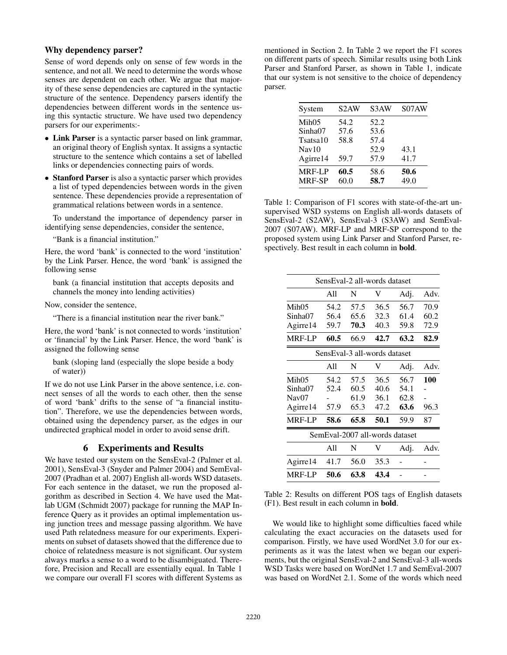## Why dependency parser?

Sense of word depends only on sense of few words in the sentence, and not all. We need to determine the words whose senses are dependent on each other. We argue that majority of these sense dependencies are captured in the syntactic structure of the sentence. Dependency parsers identify the dependencies between different words in the sentence using this syntactic structure. We have used two dependency parsers for our experiments:-

- Link Parser is a syntactic parser based on link grammar, an original theory of English syntax. It assigns a syntactic structure to the sentence which contains a set of labelled links or dependencies connecting pairs of words.
- Stanford Parser is also a syntactic parser which provides a list of typed dependencies between words in the given sentence. These dependencies provide a representation of grammatical relations between words in a sentence.

To understand the importance of dependency parser in identifying sense dependencies, consider the sentence,

"Bank is a financial institution."

Here, the word 'bank' is connected to the word 'institution' by the Link Parser. Hence, the word 'bank' is assigned the following sense

bank (a financial institution that accepts deposits and channels the money into lending activities)

Now, consider the sentence,

"There is a financial institution near the river bank."

Here, the word 'bank' is not connected to words 'institution' or 'financial' by the Link Parser. Hence, the word 'bank' is assigned the following sense

bank (sloping land (especially the slope beside a body of water))

If we do not use Link Parser in the above sentence, i.e. connect senses of all the words to each other, then the sense of word 'bank' drifts to the sense of "a financial institution". Therefore, we use the dependencies between words, obtained using the dependency parser, as the edges in our undirected graphical model in order to avoid sense drift.

### 6 Experiments and Results

We have tested our system on the SensEval-2 (Palmer et al. 2001), SensEval-3 (Snyder and Palmer 2004) and SemEval-2007 (Pradhan et al. 2007) English all-words WSD datasets. For each sentence in the dataset, we run the proposed algorithm as described in Section 4. We have used the Matlab UGM (Schmidt 2007) package for running the MAP Inference Query as it provides an optimal implementation using junction trees and message passing algorithm. We have used Path relatedness measure for our experiments. Experiments on subset of datasets showed that the difference due to choice of relatedness measure is not significant. Our system always marks a sense to a word to be disambiguated. Therefore, Precision and Recall are essentially equal. In Table 1 we compare our overall F1 scores with different Systems as

mentioned in Section 2. In Table 2 we report the F1 scores on different parts of speech. Similar results using both Link Parser and Stanford Parser, as shown in Table 1, indicate that our system is not sensitive to the choice of dependency parser.

| System            | S <sub>2</sub> AW | S <sub>3</sub> AW | S07AW |
|-------------------|-------------------|-------------------|-------|
| Mih <sub>05</sub> | 54.2              | 52.2              |       |
| Sinha07           | 57.6              | 53.6              |       |
| Tsatsa10          | 58.8              | 57.4              |       |
| $\text{Nav}10$    |                   | 52.9              | 43.1  |
| Agirre14          | 59.7              | 57.9              | 41.7  |
| <b>MRF-LP</b>     | 60.5              | 58.6              | 50.6  |
| <b>MRF-SP</b>     | 60.0              | 58.7              | 49.0  |
|                   |                   |                   |       |

Table 1: Comparison of F1 scores with state-of-the-art unsupervised WSD systems on English all-words datasets of SensEval-2 (S2AW), SensEval-3 (S3AW) and SemEval-2007 (S07AW). MRF-LP and MRF-SP correspond to the proposed system using Link Parser and Stanford Parser, respectively. Best result in each column in bold.

|                   |      | SensEval-2 all-words dataset   |      |      |      |
|-------------------|------|--------------------------------|------|------|------|
|                   | A11  | N                              | V    | Adj. | Adv. |
| Mih05             | 54.2 | 57.5                           | 36.5 | 56.7 | 70.9 |
| Sinha07           | 56.4 | 65.6                           | 32.3 | 61.4 | 60.2 |
| Agirre14          | 59.7 | 70.3                           | 40.3 | 59.8 | 72.9 |
| <b>MRF-LP</b>     | 60.5 | 66.9                           | 42.7 | 63.2 | 82.9 |
|                   |      | SensEval-3 all-words dataset   |      |      |      |
|                   | A11  | N                              | V    | Adj. | Adv. |
| Mih <sub>05</sub> | 54.2 | 57.5                           | 36.5 | 56.7 | 100  |
| Sinha07           | 52.4 | 60.5                           | 40.6 | 54.1 |      |
| Nav <sub>07</sub> |      | 61.9                           | 36.1 | 62.8 |      |
| Agirre14          | 57.9 | 65.3                           | 47.2 | 63.6 | 96.3 |
| <b>MRF-LP</b>     | 58.6 | 65.8                           | 50.1 | 59.9 | 87   |
|                   |      | SemEval-2007 all-words dataset |      |      |      |
|                   | A11  | N                              | V    | Adj. | Adv. |
| Agirre14          | 41.7 | 56.0                           | 35.3 |      |      |
| <b>MRF-LP</b>     | 50.6 | 63.8                           | 43.4 |      |      |

Table 2: Results on different POS tags of English datasets (F1). Best result in each column in bold.

We would like to highlight some difficulties faced while calculating the exact accuracies on the datasets used for comparison. Firstly, we have used WordNet 3.0 for our experiments as it was the latest when we began our experiments, but the original SensEval-2 and SensEval-3 all-words WSD Tasks were based on WordNet 1.7 and SemEval-2007 was based on WordNet 2.1. Some of the words which need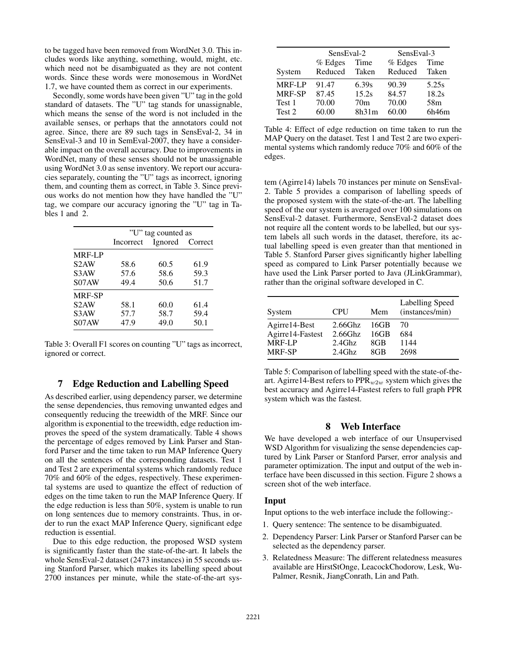to be tagged have been removed from WordNet 3.0. This includes words like anything, something, would, might, etc. which need not be disambiguated as they are not content words. Since these words were monosemous in WordNet 1.7, we have counted them as correct in our experiments.

Secondly, some words have been given "U" tag in the gold standard of datasets. The "U" tag stands for unassignable, which means the sense of the word is not included in the available senses, or perhaps that the annotators could not agree. Since, there are 89 such tags in SensEval-2, 34 in SensEval-3 and 10 in SemEval-2007, they have a considerable impact on the overall accuracy. Due to improvements in WordNet, many of these senses should not be unassignable using WordNet 3.0 as sense inventory. We report our accuracies separately, counting the "U" tags as incorrect, ignoring them, and counting them as correct, in Table 3. Since previous works do not mention how they have handled the "U" tag, we compare our accuracy ignoring the "U" tag in Tables 1 and 2.

|                   | "U" tag counted as |                 |      |  |
|-------------------|--------------------|-----------------|------|--|
|                   | Incorrect          | Ignored Correct |      |  |
| <b>MRF-LP</b>     |                    |                 |      |  |
| S <sub>2</sub> AW | 58.6               | 60.5            | 61.9 |  |
| S <sub>3</sub> AW | 57.6               | 58.6            | 59.3 |  |
| S07AW             | 49.4               | 50.6            | 51.7 |  |
| <b>MRF-SP</b>     |                    |                 |      |  |
| S <sub>2</sub> AW | 58.1               | 60.0            | 61.4 |  |
| S <sub>3</sub> AW | 57.7               | 58.7            | 59.4 |  |
| S07AW             | 47.9               | 49.0            | 50.1 |  |

Table 3: Overall F1 scores on counting "U" tags as incorrect, ignored or correct.

# 7 Edge Reduction and Labelling Speed

As described earlier, using dependency parser, we determine the sense dependencies, thus removing unwanted edges and consequently reducing the treewidth of the MRF. Since our algorithm is exponential to the treewidth, edge reduction improves the speed of the system dramatically. Table 4 shows the percentage of edges removed by Link Parser and Stanford Parser and the time taken to run MAP Inference Query on all the sentences of the corresponding datasets. Test 1 and Test 2 are experimental systems which randomly reduce 70% and 60% of the edges, respectively. These experimental systems are used to quantize the effect of reduction of edges on the time taken to run the MAP Inference Query. If the edge reduction is less than 50%, system is unable to run on long sentences due to memory constraints. Thus, in order to run the exact MAP Inference Query, significant edge reduction is essential.

Due to this edge reduction, the proposed WSD system is significantly faster than the state-of-the-art. It labels the whole SensEval-2 dataset (2473 instances) in 55 seconds using Stanford Parser, which makes its labelling speed about 2700 instances per minute, while the state-of-the-art sys-

|               | SensEval-2 |                 | SensEval-3 |       |
|---------------|------------|-----------------|------------|-------|
|               | $%$ Edges  | Time            | $%$ Edges  | Time  |
| System        | Reduced    | Taken           | Reduced    | Taken |
| <b>MRF-LP</b> | 91.47      | 6.39s           | 90.39      | 5.25s |
| MRF-SP        | 87.45      | 15.2s           | 84.57      | 18.2s |
| Test 1        | 70.00      | 70 <sub>m</sub> | 70.00      | 58m   |
| Test 2        | 60.00      | 8h31m           | 60.00      | 6h46m |

Table 4: Effect of edge reduction on time taken to run the MAP Query on the dataset. Test 1 and Test 2 are two experimental systems which randomly reduce 70% and 60% of the edges.

tem (Agirre14) labels 70 instances per minute on SensEval-2. Table 5 provides a comparison of labelling speeds of the proposed system with the state-of-the-art. The labelling speed of the our system is averaged over 100 simulations on SensEval-2 dataset. Furthermore, SensEval-2 dataset does not require all the content words to be labelled, but our system labels all such words in the dataset, therefore, its actual labelling speed is even greater than that mentioned in Table 5. Stanford Parser gives significantly higher labelling speed as compared to Link Parser potentially because we have used the Link Parser ported to Java (JLinkGrammar), rather than the original software developed in C.

| System           | <b>CPU</b> | Mem  | <b>Labelling Speed</b><br>(instances/min) |
|------------------|------------|------|-------------------------------------------|
| Agirre14-Best    | $2.66$ Ghz | 16GB | 70                                        |
| Agirre14-Fastest | $2.66$ Ghz | 16GB | 684                                       |
| <b>MRF-LP</b>    | $2.4$ Ghz  | 8GB  | 1144                                      |
| <b>MRF-SP</b>    | $2.4$ Ghz  | 8GB  | 2698                                      |

Table 5: Comparison of labelling speed with the state-of-theart. Agirre14-Best refers to  $PPR_{w2w}$  system which gives the best accuracy and Agirre14-Fastest refers to full graph PPR system which was the fastest.

#### 8 Web Interface

We have developed a web interface of our Unsupervised WSD Algorithm for visualizing the sense dependencies captured by Link Parser or Stanford Parser, error analysis and parameter optimization. The input and output of the web interface have been discussed in this section. Figure 2 shows a screen shot of the web interface.

#### Input

Input options to the web interface include the following:-

- 1. Query sentence: The sentence to be disambiguated.
- 2. Dependency Parser: Link Parser or Stanford Parser can be selected as the dependency parser.
- 3. Relatedness Measure: The different relatedness measures available are HirstStOnge, LeacockChodorow, Lesk, Wu-Palmer, Resnik, JiangConrath, Lin and Path.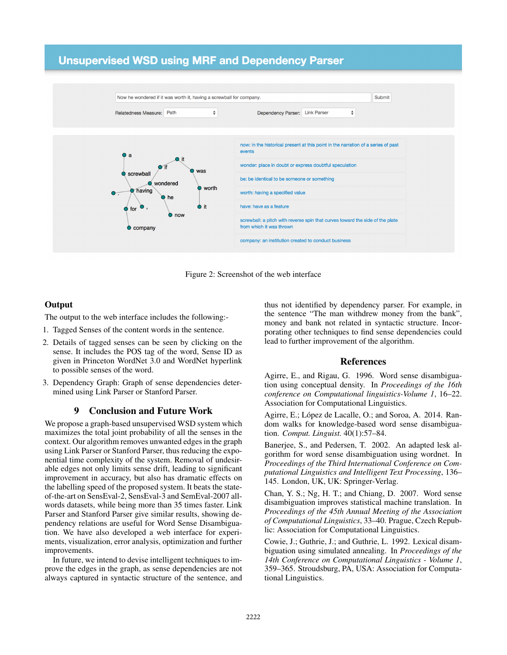# **Unsupervised WSD using MRF and Dependency Parser**



Figure 2: Screenshot of the web interface

# **Output**

The output to the web interface includes the following:-

- 1. Tagged Senses of the content words in the sentence.
- 2. Details of tagged senses can be seen by clicking on the sense. It includes the POS tag of the word, Sense ID as given in Princeton WordNet 3.0 and WordNet hyperlink to possible senses of the word.
- 3. Dependency Graph: Graph of sense dependencies determined using Link Parser or Stanford Parser.

## 9 Conclusion and Future Work

We propose a graph-based unsupervised WSD system which maximizes the total joint probability of all the senses in the context. Our algorithm removes unwanted edges in the graph using Link Parser or Stanford Parser, thus reducing the exponential time complexity of the system. Removal of undesirable edges not only limits sense drift, leading to significant improvement in accuracy, but also has dramatic effects on the labelling speed of the proposed system. It beats the stateof-the-art on SensEval-2, SensEval-3 and SemEval-2007 allwords datasets, while being more than 35 times faster. Link Parser and Stanford Parser give similar results, showing dependency relations are useful for Word Sense Disambiguation. We have also developed a web interface for experiments, visualization, error analysis, optimization and further improvements.

In future, we intend to devise intelligent techniques to improve the edges in the graph, as sense dependencies are not always captured in syntactic structure of the sentence, and

thus not identified by dependency parser. For example, in the sentence "The man withdrew money from the bank", money and bank not related in syntactic structure. Incorporating other techniques to find sense dependencies could lead to further improvement of the algorithm.

#### References

Agirre, E., and Rigau, G. 1996. Word sense disambiguation using conceptual density. In *Proceedings of the 16th conference on Computational linguistics-Volume 1*, 16–22. Association for Computational Linguistics.

Agirre, E.; López de Lacalle, O.; and Soroa, A. 2014. Random walks for knowledge-based word sense disambiguation. *Comput. Linguist.* 40(1):57–84.

Banerjee, S., and Pedersen, T. 2002. An adapted lesk algorithm for word sense disambiguation using wordnet. In *Proceedings of the Third International Conference on Computational Linguistics and Intelligent Text Processing*, 136– 145. London, UK, UK: Springer-Verlag.

Chan, Y. S.; Ng, H. T.; and Chiang, D. 2007. Word sense disambiguation improves statistical machine translation. In *Proceedings of the 45th Annual Meeting of the Association of Computational Linguistics*, 33–40. Prague, Czech Republic: Association for Computational Linguistics.

Cowie, J.; Guthrie, J.; and Guthrie, L. 1992. Lexical disambiguation using simulated annealing. In *Proceedings of the 14th Conference on Computational Linguistics - Volume 1*, 359–365. Stroudsburg, PA, USA: Association for Computational Linguistics.